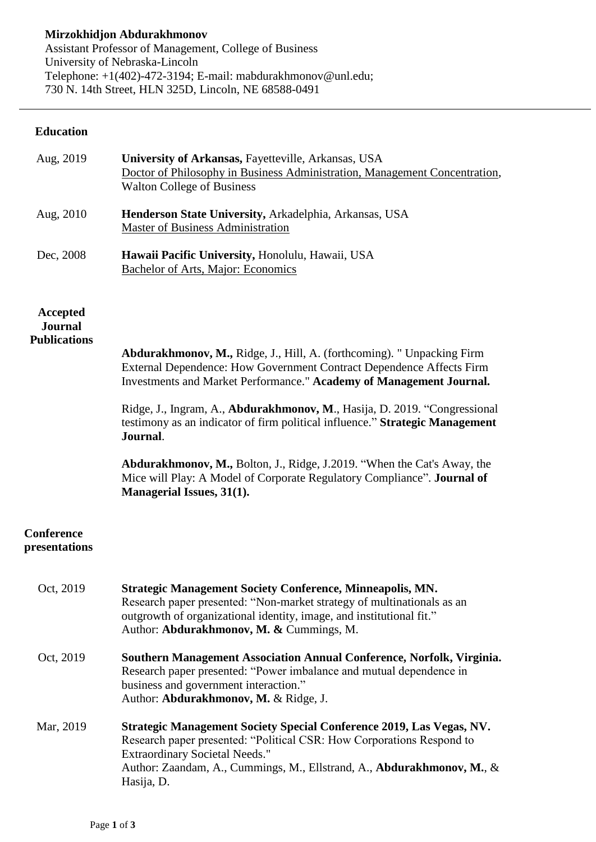## **Education**

| Aug, 2019                                                | University of Arkansas, Fayetteville, Arkansas, USA<br>Doctor of Philosophy in Business Administration, Management Concentration,<br><b>Walton College of Business</b>                                                                                                                                                                                                                                                                                                                                                                                                                   |
|----------------------------------------------------------|------------------------------------------------------------------------------------------------------------------------------------------------------------------------------------------------------------------------------------------------------------------------------------------------------------------------------------------------------------------------------------------------------------------------------------------------------------------------------------------------------------------------------------------------------------------------------------------|
| Aug, 2010                                                | Henderson State University, Arkadelphia, Arkansas, USA<br><b>Master of Business Administration</b>                                                                                                                                                                                                                                                                                                                                                                                                                                                                                       |
| Dec, 2008                                                | Hawaii Pacific University, Honolulu, Hawaii, USA<br><b>Bachelor of Arts, Major: Economics</b>                                                                                                                                                                                                                                                                                                                                                                                                                                                                                            |
| <b>Accepted</b><br><b>Journal</b><br><b>Publications</b> | Abdurakhmonov, M., Ridge, J., Hill, A. (forthcoming). " Unpacking Firm<br>External Dependence: How Government Contract Dependence Affects Firm<br>Investments and Market Performance." Academy of Management Journal.<br>Ridge, J., Ingram, A., Abdurakhmonov, M., Hasija, D. 2019. "Congressional<br>testimony as an indicator of firm political influence." Strategic Management<br>Journal.<br><b>Abdurakhmonov, M., Bolton, J., Ridge, J.2019. "When the Cat's Away, the</b><br>Mice will Play: A Model of Corporate Regulatory Compliance". Journal of<br>Managerial Issues, 31(1). |
| Conference<br>presentations                              |                                                                                                                                                                                                                                                                                                                                                                                                                                                                                                                                                                                          |
| Oct, 2019                                                | <b>Strategic Management Society Conference, Minneapolis, MN.</b><br>Research paper presented: "Non-market strategy of multinationals as an<br>outgrowth of organizational identity, image, and institutional fit."<br>Author: Abdurakhmonov, M. & Cummings, M.                                                                                                                                                                                                                                                                                                                           |
| Oct, 2019                                                | Southern Management Association Annual Conference, Norfolk, Virginia.<br>Research paper presented: "Power imbalance and mutual dependence in<br>business and government interaction."<br>Author: Abdurakhmonov, M. & Ridge, J.                                                                                                                                                                                                                                                                                                                                                           |
| Mar, 2019                                                | <b>Strategic Management Society Special Conference 2019, Las Vegas, NV.</b><br>Research paper presented: "Political CSR: How Corporations Respond to<br><b>Extraordinary Societal Needs."</b><br>Author: Zaandam, A., Cummings, M., Ellstrand, A., Abdurakhmonov, M., &<br>Hasija, D.                                                                                                                                                                                                                                                                                                    |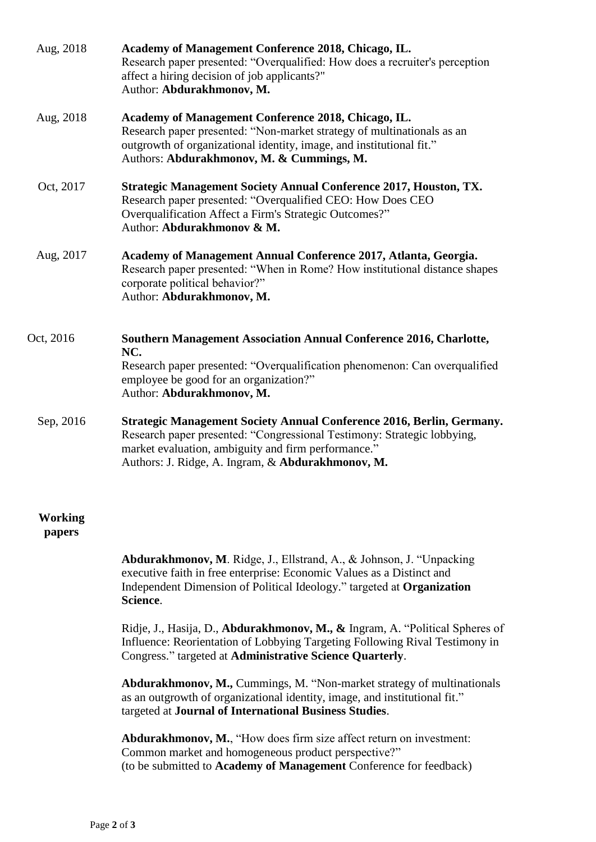| Aug, 2018                | Academy of Management Conference 2018, Chicago, IL.<br>Research paper presented: "Overqualified: How does a recruiter's perception<br>affect a hiring decision of job applicants?"<br>Author: Abdurakhmonov, M.                                              |
|--------------------------|--------------------------------------------------------------------------------------------------------------------------------------------------------------------------------------------------------------------------------------------------------------|
| Aug, 2018                | Academy of Management Conference 2018, Chicago, IL.<br>Research paper presented: "Non-market strategy of multinationals as an<br>outgrowth of organizational identity, image, and institutional fit."<br>Authors: Abdurakhmonov, M. & Cummings, M.           |
| Oct, 2017                | <b>Strategic Management Society Annual Conference 2017, Houston, TX.</b><br>Research paper presented: "Overqualified CEO: How Does CEO<br>Overqualification Affect a Firm's Strategic Outcomes?"<br>Author: Abdurakhmonov & M.                               |
| Aug, 2017                | Academy of Management Annual Conference 2017, Atlanta, Georgia.<br>Research paper presented: "When in Rome? How institutional distance shapes<br>corporate political behavior?"<br>Author: Abdurakhmonov, M.                                                 |
| Oct, 2016                | Southern Management Association Annual Conference 2016, Charlotte,                                                                                                                                                                                           |
|                          | NC.<br>Research paper presented: "Overqualification phenomenon: Can overqualified<br>employee be good for an organization?"<br>Author: Abdurakhmonov, M.                                                                                                     |
| Sep, 2016                | Strategic Management Society Annual Conference 2016, Berlin, Germany.<br>Research paper presented: "Congressional Testimony: Strategic lobbying,<br>market evaluation, ambiguity and firm performance."<br>Authors: J. Ridge, A. Ingram, & Abdurakhmonov, M. |
| <b>Working</b><br>papers |                                                                                                                                                                                                                                                              |
|                          | Abdurakhmonov, M. Ridge, J., Ellstrand, A., & Johnson, J. "Unpacking<br>executive faith in free enterprise: Economic Values as a Distinct and<br>Independent Dimension of Political Ideology." targeted at Organization<br>Science.                          |
|                          | Ridje, J., Hasija, D., Abdurakhmonov, M., & Ingram, A. "Political Spheres of<br>Influence: Reorientation of Lobbying Targeting Following Rival Testimony in<br>Congress." targeted at Administrative Science Quarterly.                                      |
|                          | <b>Abdurakhmonov, M., Cummings, M. "Non-market strategy of multinationals</b><br>as an outgrowth of organizational identity, image, and institutional fit."<br>targeted at Journal of International Business Studies.                                        |
|                          | Abdurakhmonov, M., "How does firm size affect return on investment:<br>Common market and homogeneous product perspective?"<br>(to be submitted to Academy of Management Conference for feedback)                                                             |
|                          |                                                                                                                                                                                                                                                              |